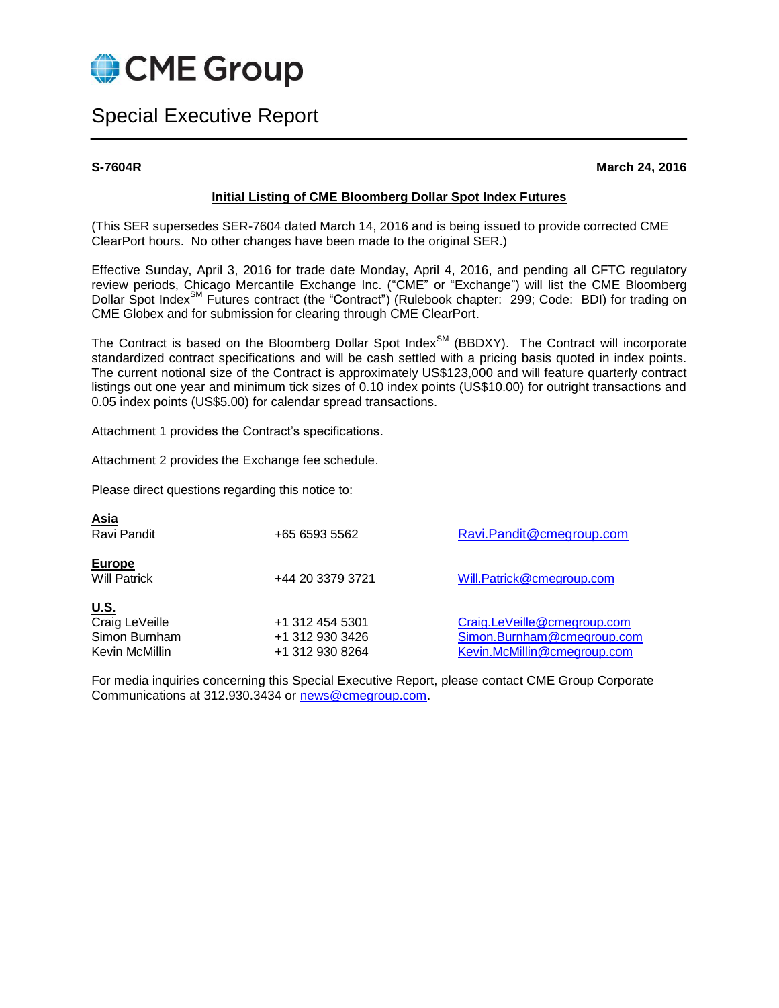

# Special Executive Report

**S-7604R March 24, 2016**

#### **Initial Listing of CME Bloomberg Dollar Spot Index Futures**

(This SER supersedes SER-7604 dated March 14, 2016 and is being issued to provide corrected CME ClearPort hours. No other changes have been made to the original SER.)

Effective Sunday, April 3, 2016 for trade date Monday, April 4, 2016, and pending all CFTC regulatory review periods, Chicago Mercantile Exchange Inc. ("CME" or "Exchange") will list the CME Bloomberg Dollar Spot Index<sup>SM</sup> Futures contract (the "Contract") (Rulebook chapter: 299; Code: BDI) for trading on CME Globex and for submission for clearing through CME ClearPort.

The Contract is based on the Bloomberg Dollar Spot Index<sup>SM</sup> (BBDXY). The Contract will incorporate standardized contract specifications and will be cash settled with a pricing basis quoted in index points. The current notional size of the Contract is approximately US\$123,000 and will feature quarterly contract listings out one year and minimum tick sizes of 0.10 index points (US\$10.00) for outright transactions and 0.05 index points (US\$5.00) for calendar spread transactions.

Attachment 1 provides the Contract's specifications.

Attachment 2 provides the Exchange fee schedule.

Please direct questions regarding this notice to:

| <u>Asia</u><br>Ravi Pandit                                       | +65 6593 5562                                         | Ravi.Pandit@cmegroup.com                                                                 |
|------------------------------------------------------------------|-------------------------------------------------------|------------------------------------------------------------------------------------------|
| <b>Europe</b><br><b>Will Patrick</b>                             | +44 20 3379 3721                                      | Will.Patrick@cmegroup.com                                                                |
| <u>U.S.</u><br>Craig LeVeille<br>Simon Burnham<br>Kevin McMillin | +1 312 454 5301<br>+1 312 930 3426<br>+1 312 930 8264 | Craig.LeVeille@cmegroup.com<br>Simon.Burnham@cmegroup.com<br>Kevin.McMillin@cmegroup.com |

For media inquiries concerning this Special Executive Report, please contact CME Group Corporate Communications at 312.930.3434 or [news@cmegroup.com.](mailto:news@cmegroup.com)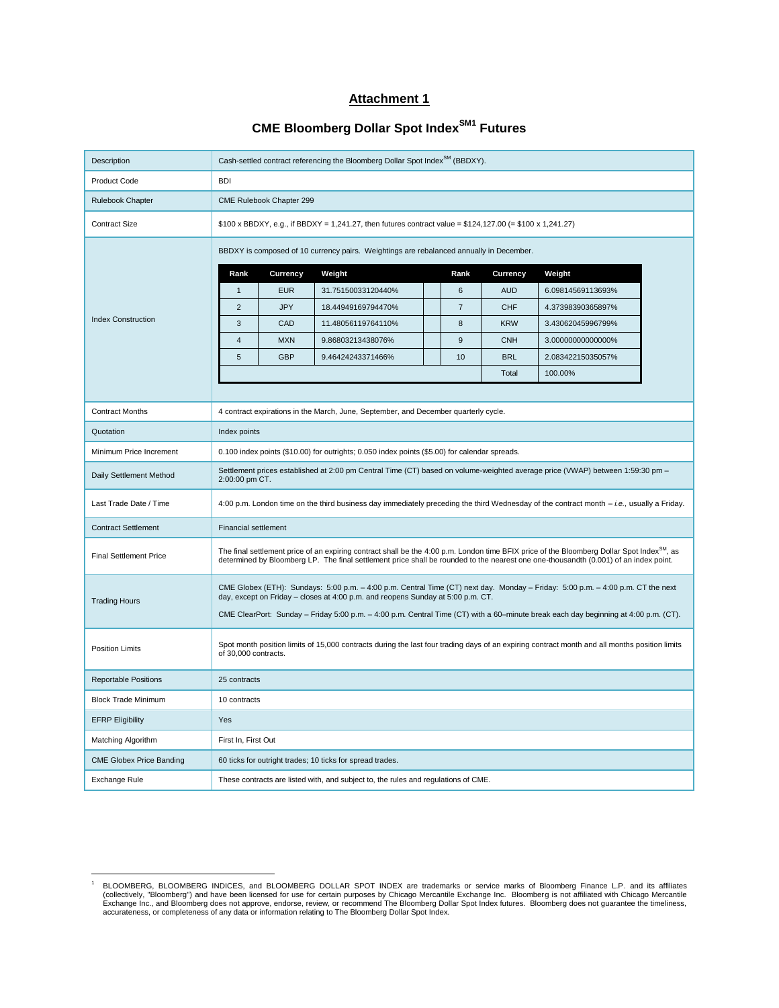# **Attachment 1**

# **CME Bloomberg Dollar Spot IndexSM1 Futures**

| Description                     |                                                                                                                                                                                                                                                                                                | Cash-settled contract referencing the Bloomberg Dollar Spot Index <sup>SM</sup> (BBDXY). |                                                                                    |  |      |            |                   |  |
|---------------------------------|------------------------------------------------------------------------------------------------------------------------------------------------------------------------------------------------------------------------------------------------------------------------------------------------|------------------------------------------------------------------------------------------|------------------------------------------------------------------------------------|--|------|------------|-------------------|--|
| <b>Product Code</b>             | <b>BDI</b>                                                                                                                                                                                                                                                                                     |                                                                                          |                                                                                    |  |      |            |                   |  |
| Rulebook Chapter                | CME Rulebook Chapter 299                                                                                                                                                                                                                                                                       |                                                                                          |                                                                                    |  |      |            |                   |  |
| <b>Contract Size</b>            | \$100 x BBDXY, e.g., if BBDXY = 1,241.27, then futures contract value = \$124,127.00 (= \$100 x 1,241.27)                                                                                                                                                                                      |                                                                                          |                                                                                    |  |      |            |                   |  |
|                                 | BBDXY is composed of 10 currency pairs. Weightings are rebalanced annually in December.                                                                                                                                                                                                        |                                                                                          |                                                                                    |  |      |            |                   |  |
|                                 | Rank                                                                                                                                                                                                                                                                                           | Currency                                                                                 | Weight                                                                             |  | Rank | Currency   | Weight            |  |
|                                 | $\mathbf{1}$                                                                                                                                                                                                                                                                                   | <b>EUR</b>                                                                               | 31.75150033120440%                                                                 |  | 6    | <b>AUD</b> | 6.09814569113693% |  |
|                                 | $\overline{2}$                                                                                                                                                                                                                                                                                 | <b>JPY</b>                                                                               | 18.44949169794470%                                                                 |  | 7    | <b>CHF</b> | 4.37398390365897% |  |
| <b>Index Construction</b>       | 3                                                                                                                                                                                                                                                                                              | CAD                                                                                      | 11.48056119764110%                                                                 |  | 8    | <b>KRW</b> | 3.43062045996799% |  |
|                                 | $\sqrt{4}$                                                                                                                                                                                                                                                                                     | <b>MXN</b>                                                                               | 9.86803213438076%                                                                  |  | 9    | <b>CNH</b> | 3.00000000000000% |  |
|                                 | 5                                                                                                                                                                                                                                                                                              | <b>GBP</b>                                                                               | 9.46424243371466%                                                                  |  | 10   | <b>BRL</b> | 2.08342215035057% |  |
|                                 |                                                                                                                                                                                                                                                                                                |                                                                                          |                                                                                    |  |      | Total      | 100.00%           |  |
|                                 |                                                                                                                                                                                                                                                                                                |                                                                                          |                                                                                    |  |      |            |                   |  |
| <b>Contract Months</b>          | 4 contract expirations in the March, June, September, and December quarterly cycle.                                                                                                                                                                                                            |                                                                                          |                                                                                    |  |      |            |                   |  |
| Quotation                       | Index points                                                                                                                                                                                                                                                                                   |                                                                                          |                                                                                    |  |      |            |                   |  |
| Minimum Price Increment         | 0.100 index points (\$10.00) for outrights; 0.050 index points (\$5.00) for calendar spreads.                                                                                                                                                                                                  |                                                                                          |                                                                                    |  |      |            |                   |  |
| Daily Settlement Method         | Settlement prices established at 2:00 pm Central Time (CT) based on volume-weighted average price (VWAP) between 1:59:30 pm -<br>2:00:00 pm CT.                                                                                                                                                |                                                                                          |                                                                                    |  |      |            |                   |  |
| Last Trade Date / Time          | 4:00 p.m. London time on the third business day immediately preceding the third Wednesday of the contract month - i.e., usually a Friday.                                                                                                                                                      |                                                                                          |                                                                                    |  |      |            |                   |  |
| <b>Contract Settlement</b>      |                                                                                                                                                                                                                                                                                                | <b>Financial settlement</b>                                                              |                                                                                    |  |      |            |                   |  |
| <b>Final Settlement Price</b>   | The final settlement price of an expiring contract shall be the 4:00 p.m. London time BFIX price of the Bloomberg Dollar Spot Index <sup>SM</sup> , as<br>determined by Bloomberg LP. The final settlement price shall be rounded to the nearest one one-thousandth (0.001) of an index point. |                                                                                          |                                                                                    |  |      |            |                   |  |
| <b>Trading Hours</b>            | CME Globex (ETH): Sundays: 5:00 p.m. - 4:00 p.m. Central Time (CT) next day. Monday - Friday: 5:00 p.m. - 4:00 p.m. CT the next<br>day, except on Friday - closes at 4:00 p.m. and reopens Sunday at 5:00 p.m. CT.                                                                             |                                                                                          |                                                                                    |  |      |            |                   |  |
|                                 | CME ClearPort: Sunday - Friday 5:00 p.m. - 4:00 p.m. Central Time (CT) with a 60-minute break each day beginning at 4:00 p.m. (CT).                                                                                                                                                            |                                                                                          |                                                                                    |  |      |            |                   |  |
| <b>Position Limits</b>          | Spot month position limits of 15,000 contracts during the last four trading days of an expiring contract month and all months position limits<br>of 30,000 contracts.                                                                                                                          |                                                                                          |                                                                                    |  |      |            |                   |  |
| <b>Reportable Positions</b>     | 25 contracts                                                                                                                                                                                                                                                                                   |                                                                                          |                                                                                    |  |      |            |                   |  |
| <b>Block Trade Minimum</b>      | 10 contracts                                                                                                                                                                                                                                                                                   |                                                                                          |                                                                                    |  |      |            |                   |  |
| <b>EFRP Eligibility</b>         | Yes                                                                                                                                                                                                                                                                                            |                                                                                          |                                                                                    |  |      |            |                   |  |
| Matching Algorithm              | First In, First Out                                                                                                                                                                                                                                                                            |                                                                                          |                                                                                    |  |      |            |                   |  |
| <b>CME Globex Price Banding</b> |                                                                                                                                                                                                                                                                                                |                                                                                          | 60 ticks for outright trades; 10 ticks for spread trades.                          |  |      |            |                   |  |
| <b>Exchange Rule</b>            |                                                                                                                                                                                                                                                                                                |                                                                                          | These contracts are listed with, and subject to, the rules and regulations of CME. |  |      |            |                   |  |

 $\overline{a}$ 

<sup>&</sup>lt;sup>1</sup> BLOOMBERG, BLOOMBERG INDICES, and BLOOMBERG DOLLAR SPOT INDEX are trademarks or service marks of Bloomberg Finance L.P. and its affiliates (collectively, "Bloomberg") and have been licensed for use for certain purposes